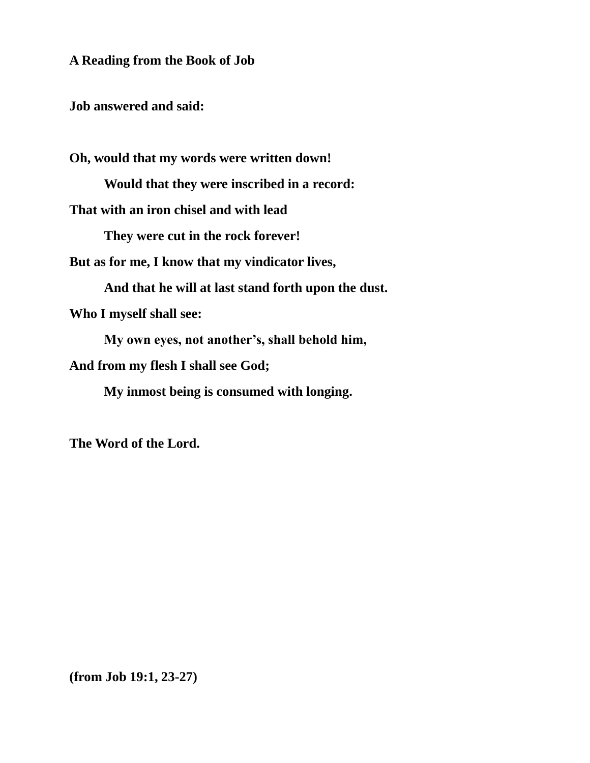**A Reading from the Book of Job**

**Job answered and said:**

**Oh, would that my words were written down!**

**Would that they were inscribed in a record:**

**That with an iron chisel and with lead**

**They were cut in the rock forever!**

**But as for me, I know that my vindicator lives,**

**And that he will at last stand forth upon the dust.**

**Who I myself shall see:**

**My own eyes, not another's, shall behold him,**

**And from my flesh I shall see God;**

**My inmost being is consumed with longing.**

**The Word of the Lord.**

**(from Job 19:1, 23-27)**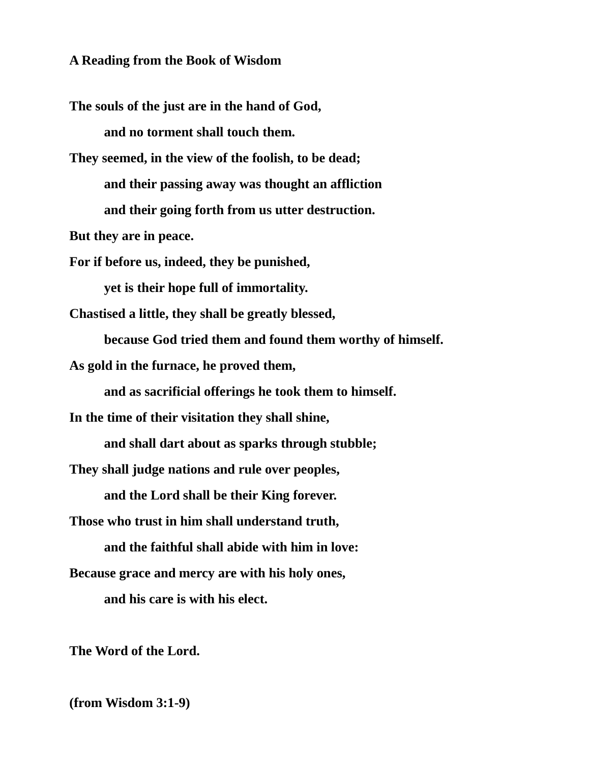**A Reading from the Book of Wisdom**

**The souls of the just are in the hand of God, and no torment shall touch them.**

**They seemed, in the view of the foolish, to be dead; and their passing away was thought an affliction and their going forth from us utter destruction.**

**But they are in peace.**

**For if before us, indeed, they be punished,**

**yet is their hope full of immortality.**

**Chastised a little, they shall be greatly blessed,**

**because God tried them and found them worthy of himself.**

**As gold in the furnace, he proved them,**

**and as sacrificial offerings he took them to himself.**

**In the time of their visitation they shall shine,**

**and shall dart about as sparks through stubble;**

**They shall judge nations and rule over peoples,**

**and the Lord shall be their King forever.**

**Those who trust in him shall understand truth,**

**and the faithful shall abide with him in love:**

**Because grace and mercy are with his holy ones,**

**and his care is with his elect.**

**The Word of the Lord.**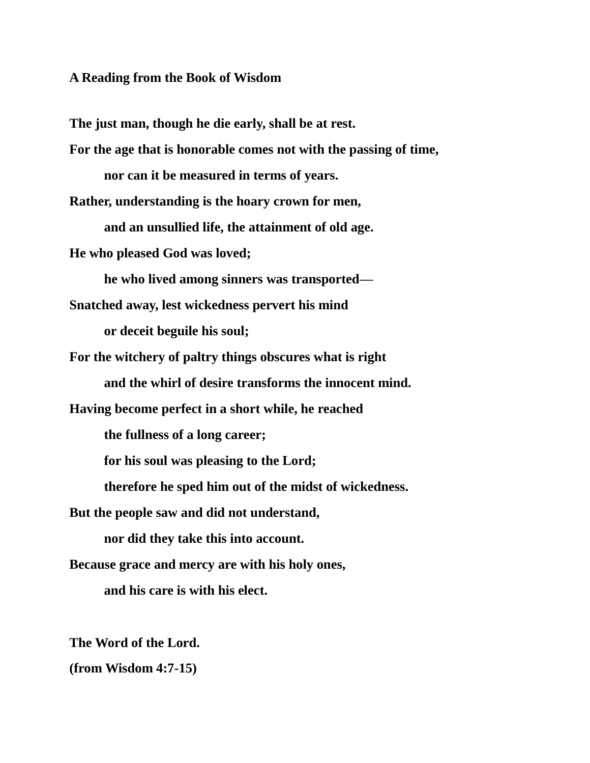#### **A Reading from the Book of Wisdom**

**The just man, though he die early, shall be at rest.**

**For the age that is honorable comes not with the passing of time, nor can it be measured in terms of years.**

**Rather, understanding is the hoary crown for men, and an unsullied life, the attainment of old age.**

**He who pleased God was loved;**

**he who lived among sinners was transported—**

**Snatched away, lest wickedness pervert his mind or deceit beguile his soul;**

**For the witchery of paltry things obscures what is right and the whirl of desire transforms the innocent mind.**

**Having become perfect in a short while, he reached**

**the fullness of a long career;**

**for his soul was pleasing to the Lord;**

**therefore he sped him out of the midst of wickedness.**

**But the people saw and did not understand,**

**nor did they take this into account.**

**Because grace and mercy are with his holy ones,**

**and his care is with his elect.**

**The Word of the Lord.**

**(from Wisdom 4:7-15)**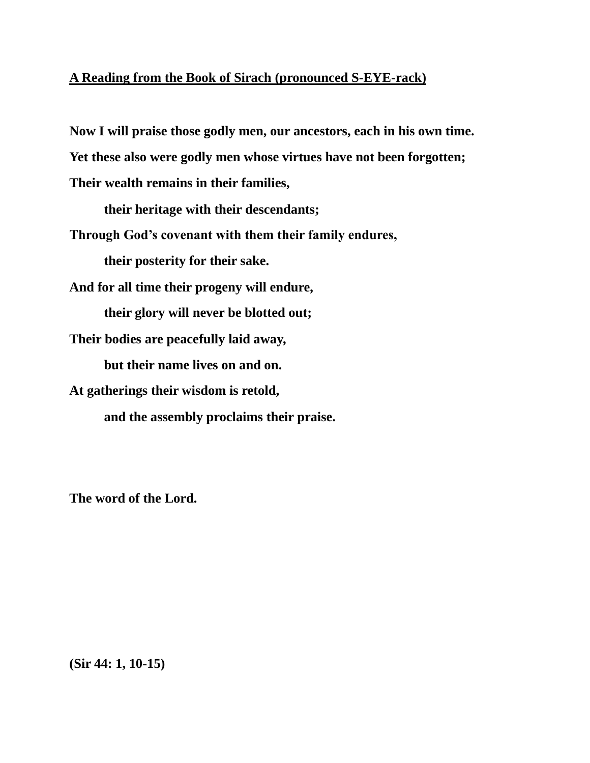# **A Reading from the Book of Sirach (pronounced S-EYE-rack)**

**Now I will praise those godly men, our ancestors, each in his own time. Yet these also were godly men whose virtues have not been forgotten; Their wealth remains in their families,**

**their heritage with their descendants;**

**Through God's covenant with them their family endures,**

**their posterity for their sake.**

**And for all time their progeny will endure,**

**their glory will never be blotted out;**

**Their bodies are peacefully laid away,**

**but their name lives on and on.**

**At gatherings their wisdom is retold,** 

**and the assembly proclaims their praise.**

**The word of the Lord.**

**(Sir 44: 1, 10-15)**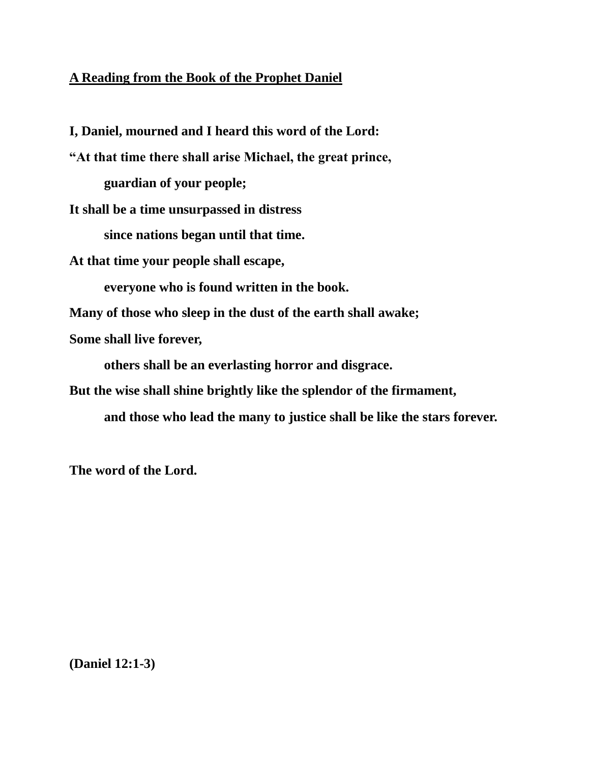# **A Reading from the Book of the Prophet Daniel**

**I, Daniel, mourned and I heard this word of the Lord:**

**"At that time there shall arise Michael, the great prince, guardian of your people;**

**It shall be a time unsurpassed in distress**

**since nations began until that time.**

**At that time your people shall escape,** 

**everyone who is found written in the book.**

**Many of those who sleep in the dust of the earth shall awake;**

**Some shall live forever,** 

**others shall be an everlasting horror and disgrace.**

**But the wise shall shine brightly like the splendor of the firmament,** 

**and those who lead the many to justice shall be like the stars forever.**

**The word of the Lord.**

**(Daniel 12:1-3)**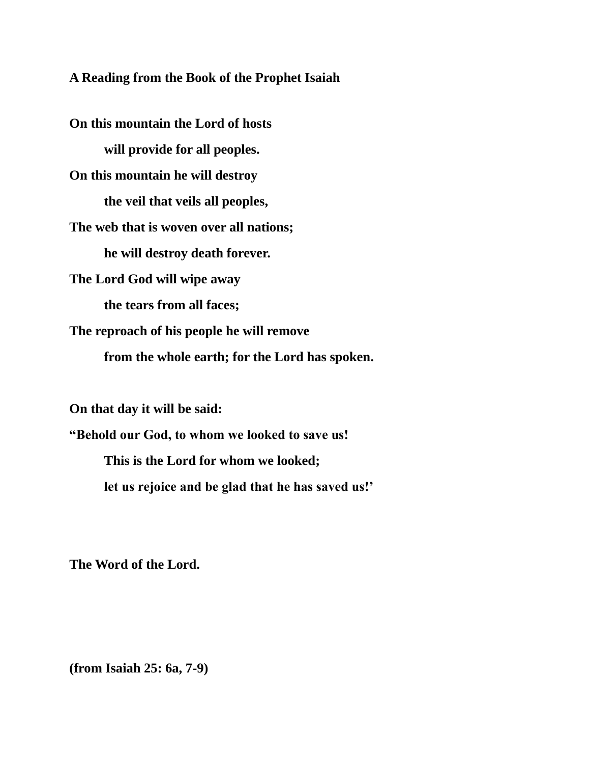**A Reading from the Book of the Prophet Isaiah**

**On this mountain the Lord of hosts will provide for all peoples. On this mountain he will destroy the veil that veils all peoples, The web that is woven over all nations; he will destroy death forever. The Lord God will wipe away the tears from all faces; The reproach of his people he will remove from the whole earth; for the Lord has spoken.**

**On that day it will be said:**

**"Behold our God, to whom we looked to save us! This is the Lord for whom we looked; let us rejoice and be glad that he has saved us!'**

**The Word of the Lord.**

**(from Isaiah 25: 6a, 7-9)**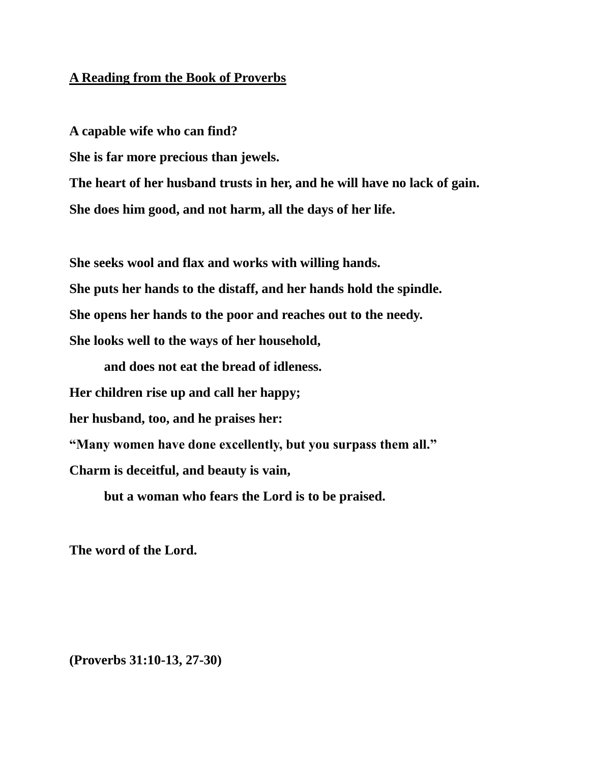#### **A Reading from the Book of Proverbs**

**A capable wife who can find?**

**She is far more precious than jewels.**

**The heart of her husband trusts in her, and he will have no lack of gain. She does him good, and not harm, all the days of her life.**

**She seeks wool and flax and works with willing hands.**

**She puts her hands to the distaff, and her hands hold the spindle.**

**She opens her hands to the poor and reaches out to the needy.**

**She looks well to the ways of her household,** 

**and does not eat the bread of idleness.**

**Her children rise up and call her happy;** 

**her husband, too, and he praises her:**

**"Many women have done excellently, but you surpass them all."**

**Charm is deceitful, and beauty is vain,** 

**but a woman who fears the Lord is to be praised.**

**The word of the Lord.**

**(Proverbs 31:10-13, 27-30)**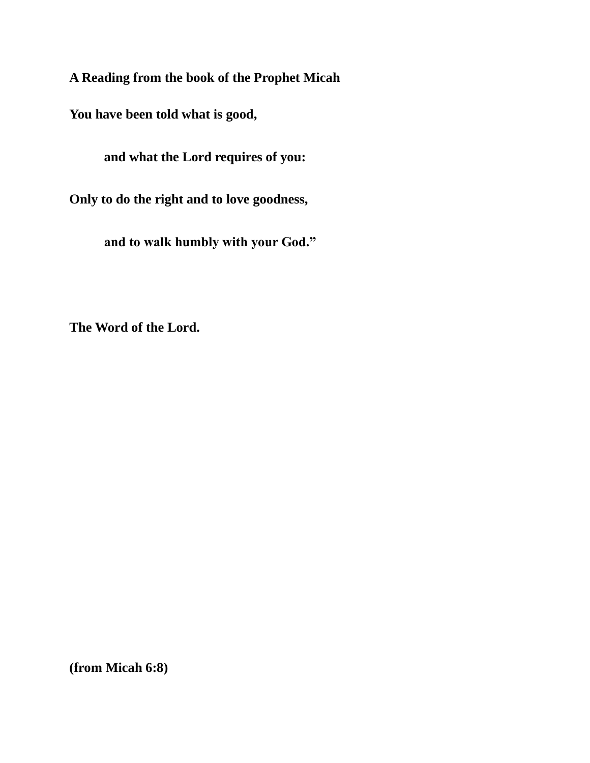**A Reading from the book of the Prophet Micah**

**You have been told what is good,** 

**and what the Lord requires of you:**

**Only to do the right and to love goodness,**

**and to walk humbly with your God."**

**The Word of the Lord.**

**(from Micah 6:8)**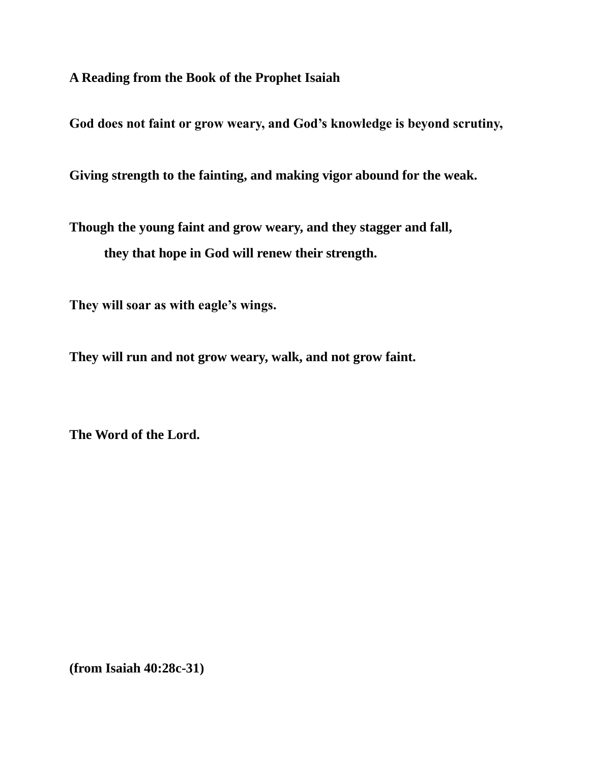**A Reading from the Book of the Prophet Isaiah**

**God does not faint or grow weary, and God's knowledge is beyond scrutiny,**

**Giving strength to the fainting, and making vigor abound for the weak.**

**Though the young faint and grow weary, and they stagger and fall, they that hope in God will renew their strength.**

**They will soar as with eagle's wings.** 

**They will run and not grow weary, walk, and not grow faint.**

**The Word of the Lord.**

**(from Isaiah 40:28c-31)**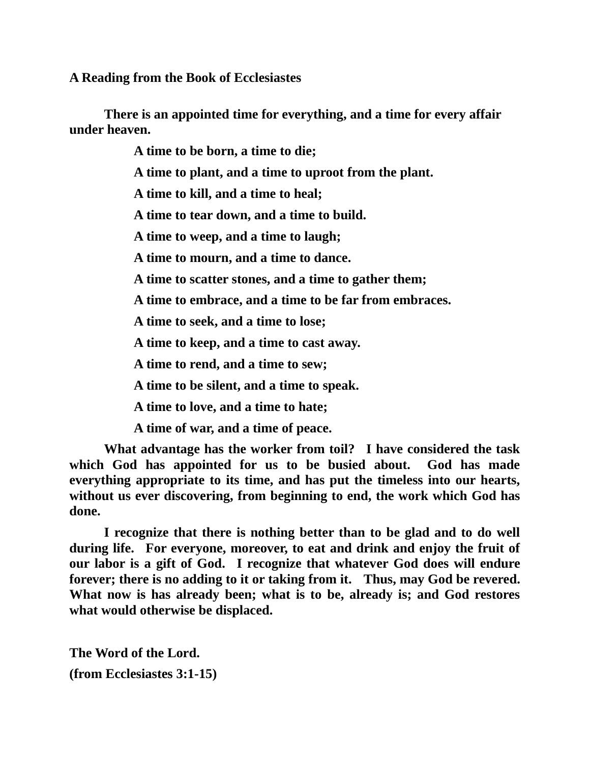**A Reading from the Book of Ecclesiastes**

**There is an appointed time for everything, and a time for every affair under heaven.**

**A time to be born, a time to die;**

**A time to plant, and a time to uproot from the plant.**

**A time to kill, and a time to heal;**

**A time to tear down, and a time to build.**

**A time to weep, and a time to laugh;**

**A time to mourn, and a time to dance.**

**A time to scatter stones, and a time to gather them;**

**A time to embrace, and a time to be far from embraces.**

**A time to seek, and a time to lose;**

**A time to keep, and a time to cast away.**

**A time to rend, and a time to sew;**

**A time to be silent, and a time to speak.**

**A time to love, and a time to hate;**

**A time of war, and a time of peace.**

**What advantage has the worker from toil? I have considered the task which God has appointed for us to be busied about. God has made everything appropriate to its time, and has put the timeless into our hearts, without us ever discovering, from beginning to end, the work which God has done.**

**I recognize that there is nothing better than to be glad and to do well during life. For everyone, moreover, to eat and drink and enjoy the fruit of our labor is a gift of God. I recognize that whatever God does will endure forever; there is no adding to it or taking from it. Thus, may God be revered. What now is has already been; what is to be, already is; and God restores what would otherwise be displaced.**

**The Word of the Lord. (from Ecclesiastes 3:1-15)**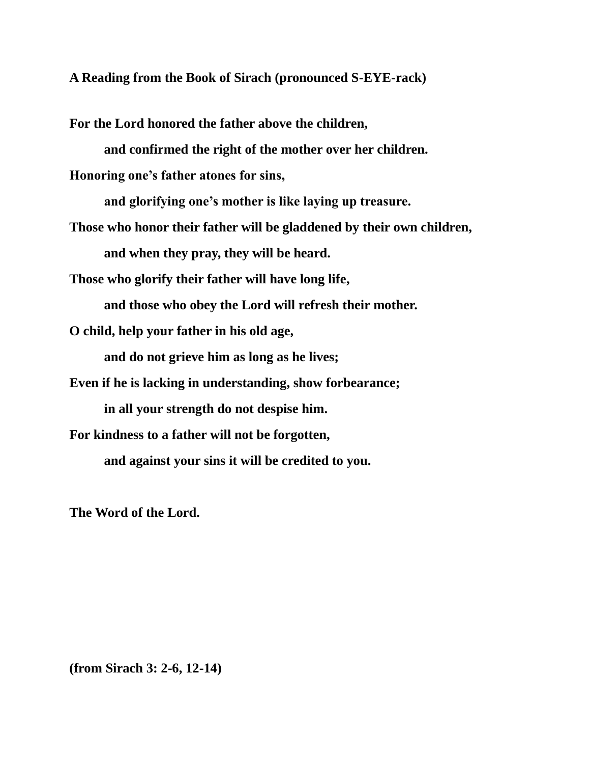**A Reading from the Book of Sirach (pronounced S-EYE-rack)**

**For the Lord honored the father above the children,**

**and confirmed the right of the mother over her children.**

**Honoring one's father atones for sins,** 

**and glorifying one's mother is like laying up treasure.**

**Those who honor their father will be gladdened by their own children, and when they pray, they will be heard.**

**Those who glorify their father will have long life,**

**and those who obey the Lord will refresh their mother.**

**O child, help your father in his old age,**

**and do not grieve him as long as he lives;** 

**Even if he is lacking in understanding, show forbearance;**

**in all your strength do not despise him.**

**For kindness to a father will not be forgotten,**

**and against your sins it will be credited to you.**

**The Word of the Lord.**

**(from Sirach 3: 2-6, 12-14)**